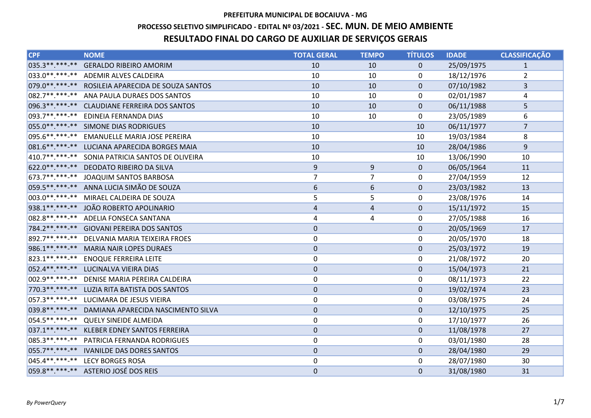# PROCESSO SELETIVO SIMPLIFICADO - EDITAL Nº 03/2021 - SEC. MUN. DE MEIO AMBIENTE

# RESULTADO FINAL DO CARGO DE AUXILIAR DE SERVIÇOS GERAIS

| CPF             | <b>NOME</b>                                       | <b>TOTAL GERAL</b>      | <b>TEMPO</b>   | <b>TÍTULOS</b> | <b>IDADE</b> | <b>CLASSIFICAÇÃO</b>    |
|-----------------|---------------------------------------------------|-------------------------|----------------|----------------|--------------|-------------------------|
| 035.3 ** ***-** | <b>GERALDO RIBEIRO AMORIM</b>                     | 10                      | 10             | $\overline{0}$ | 25/09/1975   | $\mathbf{1}$            |
|                 | 033.0**.***-** ADEMIR ALVES CALDEIRA              | 10                      | 10             | 0              | 18/12/1976   | $\overline{2}$          |
|                 | 079.0**.***-** ROSILEIA APARECIDA DE SOUZA SANTOS | 10                      | 10             | $\mathbf{0}$   | 07/10/1982   | $\overline{\mathbf{3}}$ |
| 082.7**.***-**  | ANA PAULA DURAES DOS SANTOS                       | 10                      | 10             | 0              | 02/01/1987   | 4                       |
|                 | 096.3**.***-** CLAUDIANE FERREIRA DOS SANTOS      | 10                      | 10             | $\Omega$       | 06/11/1988   | 5                       |
| 093.7**.***-**  | EDINEIA FERNANDA DIAS                             | 10                      | 10             | 0              | 23/05/1989   | 6                       |
|                 | 055.0**.***-** SIMONE DIAS RODRIGUES              | 10                      |                | 10             | 06/11/1977   | $\overline{7}$          |
|                 | 095.6**.***-** EMANUELLE MARIA JOSE PEREIRA       | 10                      |                | 10             | 19/03/1984   | 8                       |
|                 | 081.6**.***-** LUCIANA APARECIDA BORGES MAIA      | 10                      |                | 10             | 28/04/1986   | 9                       |
|                 | 410.7**.***-** SONIA PATRICIA SANTOS DE OLIVEIRA  | 10                      |                | 10             | 13/06/1990   | 10                      |
|                 | 622.0** ***-** DEODATO RIBEIRO DA SILVA           | $\boldsymbol{9}$        | 9              | $\mathbf 0$    | 06/05/1964   | 11                      |
|                 | 673.7**.***-** JOAQUIM SANTOS BARBOSA             | 7                       | 7              | 0              | 27/04/1959   | 12                      |
|                 | 059.5** ***-** ANNA LUCIA SIMÃO DE SOUZA          | 6                       | 6              | $\mathbf 0$    | 23/03/1982   | 13                      |
|                 | 003.0**.***-** MIRAEL CALDEIRA DE SOUZA           | 5                       | 5              | 0              | 23/08/1976   | 14                      |
|                 | 938.1**.***-** JOÃO ROBERTO APOLINARIO            | $\overline{\mathbf{r}}$ | $\overline{4}$ | $\mathbf 0$    | 15/11/1972   | 15                      |
|                 | 082.8**.***-** ADELIA FONSECA SANTANA             | 4                       | 4              | 0              | 27/05/1988   | 16                      |
|                 | 784.2**.***-** GIOVANI PEREIRA DOS SANTOS         | $\pmb{0}$               |                | $\mathbf 0$    | 20/05/1969   | 17                      |
|                 | 892.7**.***-** DELVANIA MARIA TEIXEIRA FROES      | 0                       |                | 0              | 20/05/1970   | 18                      |
|                 | 986.1**.***-** MARIA NAIR LOPES DURAES            | $\mathbf 0$             |                | $\mathbf 0$    | 25/03/1972   | 19                      |
|                 | 823.1**.***-** ENOQUE FERREIRA LEITE              | 0                       |                | $\mathbf{0}$   | 21/08/1972   | 20                      |
|                 | 052.4** ***-** LUCINALVA VIEIRA DIAS              | $\pmb{0}$               |                | $\mathbf{0}$   | 15/04/1973   | 21                      |
|                 | 002.9 **. ***- ** DENISE MARIA PEREIRA CALDEIRA   | $\mathbf 0$             |                | 0              | 08/11/1973   | 22                      |
|                 | 770.3 ** ***-** LUZIA RITA BATISTA DOS SANTOS     | $\pmb{0}$               |                | $\mathbf 0$    | 19/02/1974   | 23                      |
|                 | 057.3 **. ***- ** LUCIMARA DE JESUS VIEIRA        | $\mathbf 0$             |                | 0              | 03/08/1975   | 24                      |
|                 | 039.8**.***-** DAMIANA APARECIDA NASCIMENTO SILVA | $\mathbf 0$             |                | $\mathbf{0}$   | 12/10/1975   | 25                      |
|                 | 054.5** ***-** QUELY SINEIDE ALMEIDA              | $\mathbf 0$             |                | $\mathbf{0}$   | 17/10/1977   | 26                      |
| $037.1******$   | <b>KLEBER EDNEY SANTOS FERREIRA</b>               | $\mathbf 0$             |                | $\mathbf{0}$   | 11/08/1978   | 27                      |
|                 | 085.3 **. ***-** PATRICIA FERNANDA RODRIGUES      | $\mathbf 0$             |                | 0              | 03/01/1980   | 28                      |
|                 | 055.7**.***-** IVANILDE DAS DORES SANTOS          | $\pmb{0}$               |                | $\mathbf{0}$   | 28/04/1980   | 29                      |
|                 | 045.4** ***-** LECY BORGES ROSA                   | 0                       |                | $\mathbf{0}$   | 28/07/1980   | 30                      |
|                 | 059.8 ** ***- ** ASTERIO JOSÉ DOS REIS            | $\mathbf 0$             |                | $\mathbf{0}$   | 31/08/1980   | 31                      |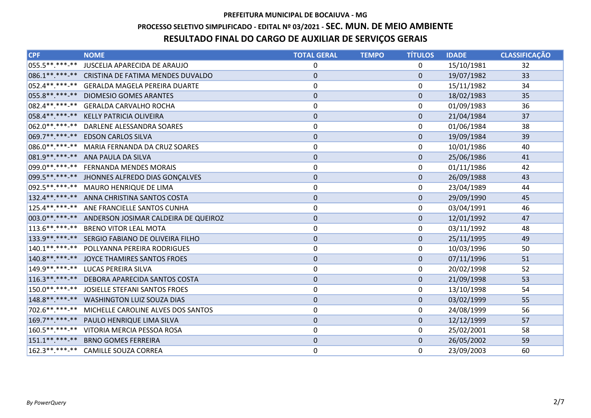# PROCESSO SELETIVO SIMPLIFICADO - EDITAL Nº 03/2021 - SEC. MUN. DE MEIO AMBIENTE

# RESULTADO FINAL DO CARGO DE AUXILIAR DE SERVIÇOS GERAIS

| <b>CPF</b> | <b>NOME</b>                                         | <b>TOTAL GERAL</b> | <b>TEMPO</b> | <b>TÍTULOS</b> | <b>IDADE</b> | <b>CLASSIFICAÇÃO</b> |
|------------|-----------------------------------------------------|--------------------|--------------|----------------|--------------|----------------------|
|            | 055.5** ***-** JUSCELIA APARECIDA DE ARAUJO         | 0                  |              | $\mathbf{0}$   | 15/10/1981   | 32                   |
|            | 086.1** ***-** CRISTINA DE FATIMA MENDES DUVALDO    | $\pmb{0}$          |              | $\mathbf 0$    | 19/07/1982   | 33                   |
|            | 052.4**.***-** GERALDA MAGELA PEREIRA DUARTE        | $\pmb{0}$          |              | 0              | 15/11/1982   | 34                   |
|            | 055.8 ** *** -** DIOMESIO GOMES ARANTES             | $\mathbf 0$        |              | $\mathbf{0}$   | 18/02/1983   | 35                   |
|            | 082.4**.***-** GERALDA CARVALHO ROCHA               | 0                  |              | 0              | 01/09/1983   | 36                   |
|            | 058.4**.***-** KELLY PATRICIA OLIVEIRA              | $\pmb{0}$          |              | $\mathbf{0}$   | 21/04/1984   | 37                   |
|            | 062.0**.***-** DARLENE ALESSANDRA SOARES            | $\pmb{0}$          |              | $\mathbf{0}$   | 01/06/1984   | 38                   |
|            | 069.7** ***-** EDSON CARLOS SILVA                   | $\mathbf 0$        |              | $\mathbf{0}$   | 19/09/1984   | 39                   |
|            | 086.0**.***-** MARIA FERNANDA DA CRUZ SOARES        | $\pmb{0}$          |              | 0              | 10/01/1986   | 40                   |
|            | 081.9 ** ***- ** ANA PAULA DA SILVA                 | $\pmb{0}$          |              | $\Omega$       | 25/06/1986   | 41                   |
|            | 099.0**.***-** FERNANDA MENDES MORAIS               | $\pmb{0}$          |              | $\Omega$       | 01/11/1986   | 42                   |
|            | 099.5** ***-** JHONNES ALFREDO DIAS GONÇALVES       | $\pmb{0}$          |              | $\mathbf{0}$   | 26/09/1988   | 43                   |
|            | 092.5 **. ***- ** MAURO HENRIQUE DE LIMA            | $\pmb{0}$          |              | 0              | 23/04/1989   | 44                   |
|            | 132.4******** ANNA CHRISTINA SANTOS COSTA           | $\mathbf 0$        |              | $\mathbf{0}$   | 29/09/1990   | 45                   |
|            | 125.4**.***-** ANE FRANCIELLE SANTOS CUNHA          | $\mathbf 0$        |              | 0              | 03/04/1991   | 46                   |
|            | 003.0**.***-** ANDERSON JOSIMAR CALDEIRA DE QUEIROZ | $\pmb{0}$          |              | $\mathbf{0}$   | 12/01/1992   | 47                   |
|            | 113.6**.***-** BRENO VITOR LEAL MOTA                | $\pmb{0}$          |              | 0              | 03/11/1992   | 48                   |
|            | 133.9 **. ***- ** SERGIO FABIANO DE OLIVEIRA FILHO  | $\mathbf 0$        |              | $\mathbf{0}$   | 25/11/1995   | 49                   |
|            | 140.1**.***-** POLLYANNA PEREIRA RODRIGUES          | $\pmb{0}$          |              | 0              | 10/03/1996   | 50                   |
|            | 140.8** ***-** JOYCE THAMIRES SANTOS FROES          | $\mathbf 0$        |              | $\Omega$       | 07/11/1996   | 51                   |
|            | 149.9 **. ***- ** LUCAS PEREIRA SILVA               | $\pmb{0}$          |              | 0              | 20/02/1998   | 52                   |
|            | 116.3**.***-** DEBORA APARECIDA SANTOS COSTA        | $\pmb{0}$          |              | $\mathbf 0$    | 21/09/1998   | 53                   |
|            | 150.0**.***-** JOSIELLE STEFANI SANTOS FROES        | $\pmb{0}$          |              | 0              | 13/10/1998   | 54                   |
|            | 148.8**.***-** WASHINGTON LUIZ SOUZA DIAS           | $\mathbf 0$        |              | $\Omega$       | 03/02/1999   | 55                   |
|            | 702.6**.***-** MICHELLE CAROLINE ALVES DOS SANTOS   | $\mathbf 0$        |              | 0              | 24/08/1999   | 56                   |
|            | 169.7**.***-** PAULO HENRIQUE LIMA SILVA            | $\pmb{0}$          |              | $\mathbf{0}$   | 12/12/1999   | 57                   |
|            | 160.5**.***-** VITORIA MERCIA PESSOA ROSA           | $\pmb{0}$          |              | $\mathbf{0}$   | 25/02/2001   | 58                   |
|            | 151.1**.***-** BRNO GOMES FERREIRA                  | $\mathbf 0$        |              | $\Omega$       | 26/05/2002   | 59                   |
|            | 162.3**.***-** CAMILLE SOUZA CORREA                 | $\mathbf 0$        |              | $\mathbf{0}$   | 23/09/2003   | 60                   |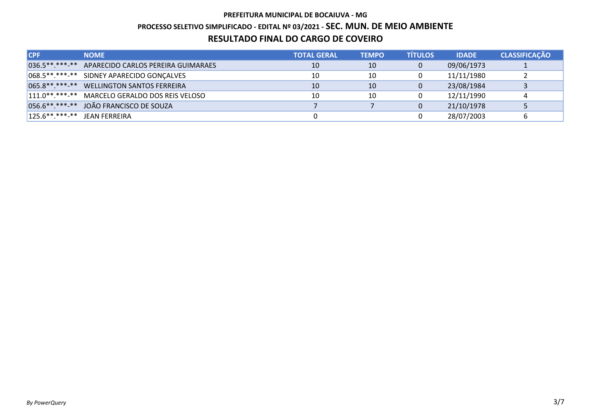## PREFEITURA MUNICIPAL DE BOCAIUVA - MG PROCESSO SELETIVO SIMPLIFICADO - EDITAL Nº 03/2021 - SEC. MUN. DE MEIO AMBIENTE RESULTADO FINAL DO CARGO DE COVEIRO

| <b>CPF</b>                       | <b>NOME</b>                                       | <b>TOTAL GERAL</b> | <b>TEMPO</b> | <b>TÍTULOS</b> | <b>IDADE</b> | <b>CLASSIFICAÇÃO</b> |
|----------------------------------|---------------------------------------------------|--------------------|--------------|----------------|--------------|----------------------|
|                                  | 036.5**.***-** APARECIDO CARLOS PEREIRA GUIMARAES | 10                 | 10           |                | 09/06/1973   |                      |
|                                  | 068.5**.***-** SIDNEY APARECIDO GONÇALVES         | 10                 | 10           |                | 11/11/1980   |                      |
|                                  | 065.8**.***-** WELLINGTON SANTOS FERREIRA         | 10                 | 10           |                | 23/08/1984   |                      |
|                                  | 111.0**.***-** MARCELO GERALDO DOS REIS VELOSO    | 10                 | 10           |                | 12/11/1990   |                      |
|                                  | 056.6** ***-** JOÃO FRANCISCO DE SOUZA            |                    |              |                | 21/10/1978   |                      |
| $125.6***.****.**$ JEAN FERREIRA |                                                   |                    |              |                | 28/07/2003   |                      |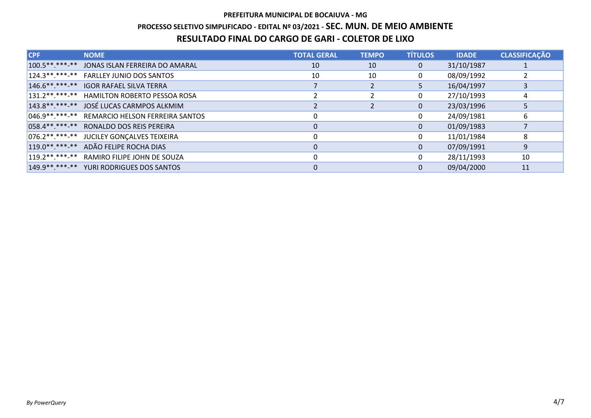### PROCESSO SELETIVO SIMPLIFICADO - EDITAL Nº 03/2021 - SEC. MUN. DE MEIO AMBIENTE

### RESULTADO FINAL DO CARGO DE GARI - COLETOR DE LIXO

| <b>CPF</b>    | <b>NOME</b>                                       | <b>TOTAL GERAL</b> | <b>TEMPO</b> | <b>TÍTULOS</b> | <b>IDADE</b> | <b>CLASSIFICAÇÃO</b> |
|---------------|---------------------------------------------------|--------------------|--------------|----------------|--------------|----------------------|
|               | 100.5**.***-** JONAS ISLAN FERREIRA DO AMARAL     | 10                 | 10           | $\overline{0}$ | 31/10/1987   |                      |
|               | 124.3**.***-** FARLLEY JUNIO DOS SANTOS           | 10                 | 10           | 0              | 08/09/1992   |                      |
|               | 146.6** ***-** IGOR RAFAEL SILVA TERRA            |                    |              | 5.             | 16/04/1997   |                      |
|               | 131.2**.***-** HAMILTON ROBERTO PESSOA ROSA       |                    |              | 0              | 27/10/1993   | 4                    |
|               | 143.8** ***-** JOSÉ LUCAS CARMPOS ALKMIM          |                    |              | $\mathbf{0}$   | 23/03/1996   |                      |
|               | 046.9 ** .*** -** REMARCIO HELSON FERREIRA SANTOS |                    |              | 0              | 24/09/1981   | 6                    |
|               | 058.4** ***-** RONALDO DOS REIS PEREIRA           | 0                  |              | $\mathbf{0}$   | 01/09/1983   |                      |
|               | 076.2**.***-** JUCILEY GONÇALVES TEIXEIRA         | 0                  |              | 0              | 11/01/1984   | 8                    |
| $119.0******$ | ADÃO FELIPE ROCHA DIAS                            | $\Omega$           |              | $\Omega$       | 07/09/1991   | 9                    |
|               | 119.2 **. *** -** RAMIRO FILIPE JOHN DE SOUZA     | $\Omega$           |              | 0              | 28/11/1993   | 10                   |
|               | 149.9**.***-** YURI RODRIGUES DOS SANTOS          |                    |              | $\Omega$       | 09/04/2000   | 11                   |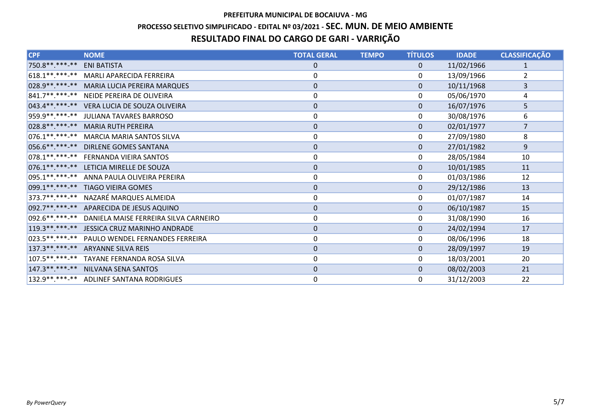## PREFEITURA MUNICIPAL DE BOCAIUVA - MG PROCESSO SELETIVO SIMPLIFICADO - EDITAL Nº 03/2021 - SEC. MUN. DE MEIO AMBIENTE RESULTADO FINAL DO CARGO DE GARI - VARRIÇÃO

| <b>CPF</b>       | <b>NOME</b>                                   | <b>TOTAL GERAL</b> | <b>TEMPO</b> | <b>TÍTULOS</b> | <b>IDADE</b> | <b>CLASSIFICAÇÃO</b> |
|------------------|-----------------------------------------------|--------------------|--------------|----------------|--------------|----------------------|
| 750.8 ** *** -** | <b>ENI BATISTA</b>                            | $\mathbf 0$        |              | $\Omega$       | 11/02/1966   | $\mathbf{1}$         |
|                  | 618.1**.***-** MARLI APARECIDA FERREIRA       | 0                  |              | 0              | 13/09/1966   | $\overline{2}$       |
| 028.9 ** ***-**  | MARIA LUCIA PEREIRA MARQUES                   | $\boldsymbol{0}$   |              | $\mathbf{0}$   | 10/11/1968   | 3                    |
|                  | 841.7**.***-** NEIDE PEREIRA DE OLIVEIRA      | 0                  |              | $\Omega$       | 05/06/1970   | 4                    |
| $043.4******$    | VERA LUCIA DE SOUZA OLIVEIRA                  | $\pmb{0}$          |              | $\mathbf{0}$   | 16/07/1976   | 5                    |
|                  | 959.9**.***-** JULIANA TAVARES BARROSO        | 0                  |              | $\mathbf{0}$   | 30/08/1976   | 6                    |
|                  | 028.8** ***-** MARIA RUTH PEREIRA             | $\pmb{0}$          |              | $\mathbf{0}$   | 02/01/1977   | $\overline{7}$       |
| 076.1 ** *** -** | <b>MARCIA MARIA SANTOS SILVA</b>              | $\pmb{0}$          |              | 0              | 27/09/1980   | 8                    |
|                  | 056.6** ***-** DIRLENE GOMES SANTANA          | $\mathbf 0$        |              | $\Omega$       | 27/01/1982   | 9                    |
| 078.1**.***-**   | <b>FERNANDA VIEIRA SANTOS</b>                 | 0                  |              | 0              | 28/05/1984   | 10                   |
|                  | 076.1**.***-** LETICIA MIRELLE DE SOUZA       | $\boldsymbol{0}$   |              | $\mathbf{0}$   | 10/01/1985   | 11                   |
| 095.1 *****-**   | ANNA PAULA OLIVEIRA PEREIRA                   | $\pmb{0}$          |              | 0              | 01/03/1986   | 12                   |
| 099.1 ** ***-**  | <b>TIAGO VIEIRA GOMES</b>                     | $\boldsymbol{0}$   |              | $\mathbf{0}$   | 29/12/1986   | 13                   |
| 373.7**.***-**   | NAZARÉ MARQUES ALMEIDA                        | 0                  |              | $\mathbf{0}$   | 01/07/1987   | 14                   |
|                  | 092.7**.***-** APARECIDA DE JESUS AQUINO      | $\pmb{0}$          |              | $\mathbf{0}$   | 06/10/1987   | 15                   |
| 092.6**.***-**   | DANIELA MAISE FERREIRA SILVA CARNEIRO         | $\pmb{0}$          |              | 0              | 31/08/1990   | 16                   |
|                  | 119.3 ** ***- ** JESSICA CRUZ MARINHO ANDRADE | $\pmb{0}$          |              | $\Omega$       | 24/02/1994   | 17                   |
| 023.5 ** *** -** | <b>PAULO WENDEL FERNANDES FERREIRA</b>        | 0                  |              | 0              | 08/06/1996   | 18                   |
| $137.3*********$ | <b>ARYANNE SILVA REIS</b>                     | $\mathbf 0$        |              | $\Omega$       | 28/09/1997   | 19                   |
|                  | 107.5**.***-** TAYANE FERNANDA ROSA SILVA     | 0                  |              | $\mathbf{0}$   | 18/03/2001   | 20                   |
| $147.3******$    | NILVANA SENA SANTOS                           | $\pmb{0}$          |              | $\Omega$       | 08/02/2003   | 21                   |
|                  | 132.9 ** .*** -** ADLINEF SANTANA RODRIGUES   | 0                  |              | $\mathbf{0}$   | 31/12/2003   | 22                   |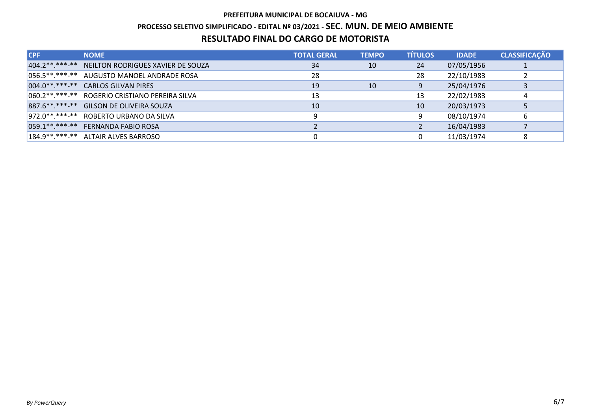## PREFEITURA MUNICIPAL DE BOCAIUVA - MG PROCESSO SELETIVO SIMPLIFICADO - EDITAL Nº 03/2021 - SEC. MUN. DE MEIO AMBIENTE RESULTADO FINAL DO CARGO DE MOTORISTA

| <b>CPF</b> | <b>NOME</b>                                        | <b>TOTAL GERAL</b> | <b>TEMPO</b> | <b>TÍTULOS</b> | <b>IDADE</b> | <b>CLASSIFICAÇÃO</b> |
|------------|----------------------------------------------------|--------------------|--------------|----------------|--------------|----------------------|
|            | 404.2 ** ***- ** NEILTON RODRIGUES XAVIER DE SOUZA | 34                 | 10           | 24             | 07/05/1956   |                      |
|            | 056.5**.***-** AUGUSTO MANOEL ANDRADE ROSA         | 28                 |              | 28             | 22/10/1983   |                      |
|            | 004.0**.***-** CARLOS GILVAN PIRES                 | 19                 | 10           | 9              | 25/04/1976   |                      |
|            | 060.2**.***-** ROGERIO CRISTIANO PEREIRA SILVA     | 13                 |              | 13             | 22/02/1983   |                      |
|            | 887.6** ***-** GILSON DE OLIVEIRA SOUZA            | 10                 |              | 10             | 20/03/1973   |                      |
|            | 972.0**.***-** ROBERTO URBANO DA SILVA             | 9                  |              | 9              | 08/10/1974   |                      |
|            | 059.1**.***-** FERNANDA FABIO ROSA                 |                    |              |                | 16/04/1983   |                      |
|            | $184.9******$ ALTAIR ALVES BARROSO                 |                    |              |                | 11/03/1974   |                      |